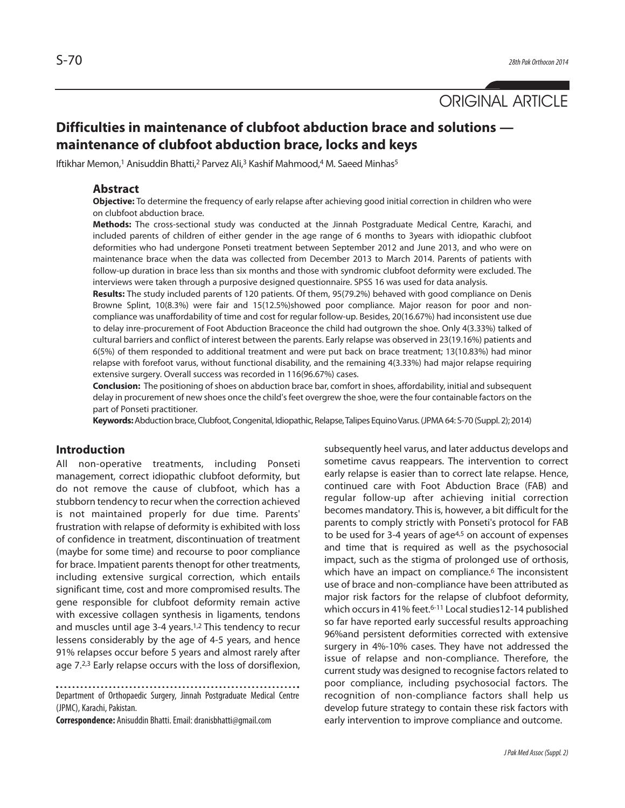ORIGINAL ARTICLE

# **Difficulties in maintenance of clubfoot abduction brace and solutions maintenance of clubfoot abduction brace, locks and keys**

Iftikhar Memon,<sup>1</sup> Anisuddin Bhatti,<sup>2</sup> Parvez Ali,<sup>3</sup> Kashif Mahmood,<sup>4</sup> M. Saeed Minhas<sup>5</sup>

# **Abstract**

**Objective:** To determine the frequency of early relapse after achieving good initial correction in children who were on clubfoot abduction brace.

**Methods:** The cross-sectional study was conducted at the Jinnah Postgraduate Medical Centre, Karachi, and included parents of children of either gender in the age range of 6 months to 3years with idiopathic clubfoot deformities who had undergone Ponseti treatment between September 2012 and June 2013, and who were on maintenance brace when the data was collected from December 2013 to March 2014. Parents of patients with follow-up duration in brace less than six months and those with syndromic clubfoot deformity were excluded. The interviews were taken through a purposive designed questionnaire. SPSS 16 was used for data analysis.

**Results:** The study included parents of 120 patients. Of them, 95(79.2%) behaved with good compliance on Denis Browne Splint, 10(8.3%) were fair and 15(12.5%)showed poor compliance. Major reason for poor and noncompliance was unaffordability of time and cost for regular follow-up. Besides, 20(16.67%) had inconsistent use due to delay inre-procurement of Foot Abduction Braceonce the child had outgrown the shoe. Only 4(3.33%) talked of cultural barriers and conflict of interest between the parents. Early relapse was observed in 23(19.16%) patients and 6(5%) of them responded to additional treatment and were put back on brace treatment; 13(10.83%) had minor relapse with forefoot varus, without functional disability, and the remaining 4(3.33%) had major relapse requiring extensive surgery. Overall success was recorded in 116(96.67%) cases.

**Conclusion:** The positioning of shoes on abduction brace bar, comfort in shoes, affordability, initial and subsequent delay in procurement of new shoes once the child's feet overgrew the shoe, were the four containable factors on the part of Ponseti practitioner.

**Keywords:** Abduction brace, Clubfoot, Congenital, Idiopathic, Relapse, Talipes Equino Varus. (JPMA 64: S-70 (Suppl. 2); 2014)

# **Introduction**

All non-operative treatments, including Ponseti management, correct idiopathic clubfoot deformity, but do not remove the cause of clubfoot, which has a stubborn tendency to recur when the correction achieved is not maintained properly for due time. Parents' frustration with relapse of deformity is exhibited with loss of confidence in treatment, discontinuation of treatment (maybe for some time) and recourse to poor compliance for brace. Impatient parents thenopt for other treatments, including extensive surgical correction, which entails significant time, cost and more compromised results. The gene responsible for clubfoot deformity remain active with excessive collagen synthesis in ligaments, tendons and muscles until age 3-4 years.<sup>1,2</sup> This tendency to recur lessens considerably by the age of 4-5 years, and hence 91% relapses occur before 5 years and almost rarely after age 7.2,3 Early relapse occurs with the loss of dorsiflexion,

Department of Orthopaedic Surgery, Jinnah Postgraduate Medical Centre (JPMC), Karachi, Pakistan.

**Correspondence:** Anisuddin Bhatti. Email: dranisbhatti@gmail.com

subsequently heel varus, and later adductus develops and sometime cavus reappears. The intervention to correct early relapse is easier than to correct late relapse. Hence, continued care with Foot Abduction Brace (FAB) and regular follow-up after achieving initial correction becomes mandatory. This is, however, a bit difficult for the parents to comply strictly with Ponseti's protocol for FAB to be used for  $3-4$  years of age $4,5$  on account of expenses and time that is required as well as the psychosocial impact, such as the stigma of prolonged use of orthosis, which have an impact on compliance.<sup>6</sup> The inconsistent use of brace and non-compliance have been attributed as major risk factors for the relapse of clubfoot deformity, which occurs in 41% feet.<sup>6-11</sup> Local studies12-14 published so far have reported early successful results approaching 96%and persistent deformities corrected with extensive surgery in 4%-10% cases. They have not addressed the issue of relapse and non-compliance. Therefore, the current study was designed to recognise factors related to poor compliance, including psychosocial factors. The recognition of non-compliance factors shall help us develop future strategy to contain these risk factors with early intervention to improve compliance and outcome.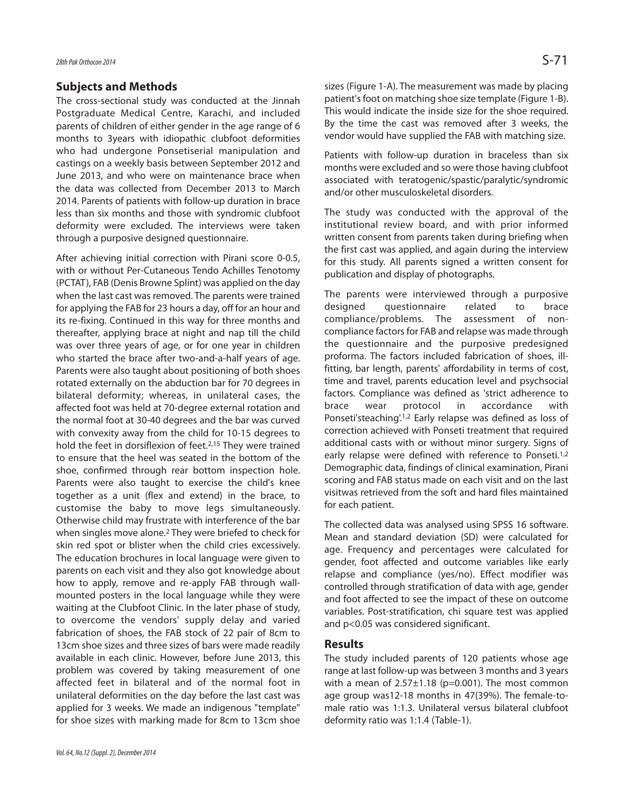## **Subjects and Methods**

The cross-sectional study was conducted at the Jinnah Postgraduate Medical Centre, Karachi, and included parents of children of either gender in the age range of 6 months to 3years with idiopathic clubfoot deformities who had undergone Ponsetiserial manipulation and castings on a weekly basis between September 2012 and June 2013, and who were on maintenance brace when the data was collected from December 2013 to March 2014. Parents of patients with follow-up duration in brace less than six months and those with syndromic clubfoot deformity were excluded. The interviews were taken through a purposive designed questionnaire.

After achieving initial correction with Pirani score 0-0.5, with or without Per-Cutaneous Tendo Achilles Tenotomy (PCTAT), FAB (Denis Browne Splint) was applied on the day when the last cast was removed. The parents were trained for applying the FAB for 23 hours a day, off for an hour and its re-fixing. Continued in this way for three months and thereafter, applying brace at night and nap till the child was over three years of age, or for one year in children who started the brace after two-and-a-half years of age. Parents were also taught about positioning of both shoes rotated externally on the abduction bar for 70 degrees in bilateral deformity; whereas, in unilateral cases, the affected foot was held at 70-degree external rotation and the normal foot at 30-40 degrees and the bar was curved with convexity away from the child for 10-15 degrees to hold the feet in dorsiflexion of feet.<sup>2,15</sup> They were trained to ensure that the heel was seated in the bottom of the shoe, confirmed through rear bottom inspection hole. Parents were also taught to exercise the child's knee together as a unit (flex and extend) in the brace, to customise the baby to move legs simultaneously. Otherwise child may frustrate with interference of the bar when singles move alone.<sup>2</sup> They were briefed to check for skin red spot or blister when the child cries excessively. The education brochures in local language were given to parents on each visit and they also got knowledge about how to apply, remove and re-apply FAB through wallmounted posters in the local language while they were waiting at the Clubfoot Clinic. In the later phase of study, to overcome the vendors' supply delay and varied fabrication of shoes, the FAB stock of 22 pair of 8cm to 13cm shoe sizes and three sizes of bars were made readily available in each clinic. However, before June 2013, this problem was covered by taking measurement of one affected feet in bilateral and of the normal foot in unilateral deformities on the day before the last cast was applied for 3 weeks. We made an indigenous "template" for shoe sizes with marking made for 8cm to 13cm shoe sizes (Figure 1-A). The measurement was made by placing patient's foot on matching shoe size template (Figure 1-B). This would indicate the inside size for the shoe required. By the time the cast was removed after 3 weeks, the vendor would have supplied the FAB with matching size.

Patients with follow-up duration in braceless than six months were excluded and so were those having clubfoot associated with teratogenic/spastic/paralytic/syndromic and/or other musculoskeletal disorders.

The study was conducted with the approval of the institutional review board, and with prior informed written consent from parents taken during briefing when the first cast was applied, and again during the interview for this study. All parents signed a written consent for publication and display of photographs.

The parents were interviewed through a purposive designed questionnaire related to brace compliance/problems. The assessment of noncompliance factors for FAB and relapse was made through the questionnaire and the purposive predesigned proforma. The factors included fabrication of shoes, illfitting, bar length, parents' affordability in terms of cost, time and travel, parents education level and psychsocial factors. Compliance was defined as 'strict adherence to brace wear protocol in accordance with Ponseti'steaching'.1,2 Early relapse was defined as loss of correction achieved with Ponseti treatment that required additional casts with or without minor surgery. Signs of early relapse were defined with reference to Ponseti.<sup>1,2</sup> Demographic data, findings of clinical examination, Pirani scoring and FAB status made on each visit and on the last visitwas retrieved from the soft and hard files maintained for each patient.

The collected data was analysed using SPSS 16 software. Mean and standard deviation (SD) were calculated for age. Frequency and percentages were calculated for gender, foot affected and outcome variables like early relapse and compliance (yes/no). Effect modifier was controlled through stratification of data with age, gender and foot affected to see the impact of these on outcome variables. Post-stratification, chi square test was applied and p<0.05 was considered significant.

#### **Results**

The study included parents of 120 patients whose age range at last follow-up was between 3 months and 3 years with a mean of  $2.57\pm1.18$  (p=0.001). The most common age group was12-18 months in 47(39%). The female-tomale ratio was 1:1.3. Unilateral versus bilateral clubfoot deformity ratio was 1:1.4 (Table-1).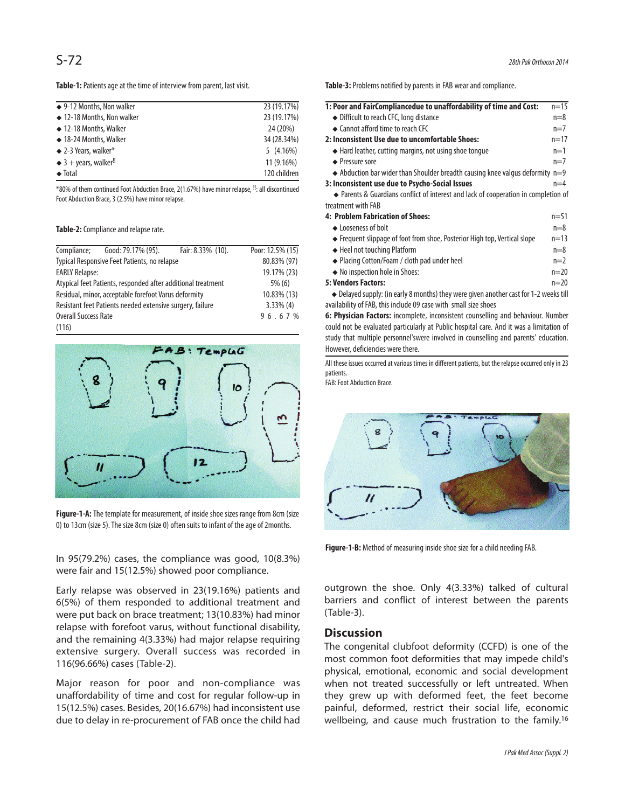**Table-1:** Patients age at the time of interview from parent, last visit.

| $\triangle$ 9-12 Months, Non walker          | 23 (19.17%)  |
|----------------------------------------------|--------------|
| ◆ 12-18 Months, Non walker                   | 23 (19.17%)  |
| $\triangle$ 12-18 Months, Walker             | 24 (20%)     |
| ◆ 18-24 Months, Walker                       | 34 (28.34%)  |
| $\triangle$ 2-3 Years, walker*               | 5(4.16%)     |
| $\triangleq$ 3 + years, walker <sup>!!</sup> | $11(9.16\%)$ |
| $\triangleleft$ Total                        | 120 children |
|                                              |              |

\*80% of them continued Foot Abduction Brace, 2(1.67%) have minor relapse, !!: all discontinued Foot Abduction Brace, 3 (2.5%) have minor relapse.

#### **Table-2:** Compliance and relapse rate.

|                                                              | Compliance; Good: 79.17% (95). | Fair: 8.33% (10). | Poor: 12.5% (15) |
|--------------------------------------------------------------|--------------------------------|-------------------|------------------|
| Typical Responsive Feet Patients, no relapse                 |                                | 80.83% (97)       |                  |
| <b>EARLY Relapse:</b>                                        |                                | 19.17% (23)       |                  |
| Atypical feet Patients, responded after additional treatment |                                | $5\%$ (6)         |                  |
| Residual, minor, acceptable forefoot Varus deformity         |                                | 10.83% (13)       |                  |
| Resistant feet Patients needed extensive surgery, failure    |                                | $3.33\%$ (4)      |                  |
| <b>Overall Success Rate</b>                                  |                                | 96.67%            |                  |
| (116)                                                        |                                |                   |                  |



**Figure-1-A:** The template for measurement, of inside shoe sizes range from 8cm (size 0) to 13cm (size 5). The size 8cm (size 0) often suits to infant of the age of 2months.

In 95(79.2%) cases, the compliance was good, 10(8.3%) were fair and 15(12.5%) showed poor compliance.

Early relapse was observed in 23(19.16%) patients and 6(5%) of them responded to additional treatment and were put back on brace treatment; 13(10.83%) had minor relapse with forefoot varus, without functional disability, and the remaining 4(3.33%) had major relapse requiring extensive surgery. Overall success was recorded in 116(96.66%) cases (Table-2).

Major reason for poor and non-compliance was unaffordability of time and cost for regular follow-up in 15(12.5%) cases. Besides, 20(16.67%) had inconsistent use due to delay in re-procurement of FAB once the child had **Table-3:** Problems notified by parents in FAB wear and compliance.

| 1: Poor and FairCompliancedue to unaffordability of time and Cost:                      | $n = 15$ |
|-----------------------------------------------------------------------------------------|----------|
| ♦ Difficult to reach CFC, long distance                                                 | $n=8$    |
| • Cannot afford time to reach CFC                                                       | $n=7$    |
| 2: Inconsistent Use due to uncomfortable Shoes:                                         | $n = 17$ |
| $\triangle$ Hard leather, cutting margins, not using shoe tongue                        | $n=1$    |
| ← Pressure sore                                                                         | $n=7$    |
| $\triangle$ Abduction bar wider than Shoulder breadth causing knee valgus deformity n=9 |          |
| 3: Inconsistent use due to Psycho-Social Issues                                         | $n=4$    |
| • Parents & Guardians conflict of interest and lack of cooperation in completion of     |          |
| treatment with FAB                                                                      |          |
| 4: Problem Fabrication of Shoes:                                                        | $n = 51$ |
| ← Looseness of bolt                                                                     | $n=8$    |
| ← Frequent slippage of foot from shoe, Posterior High top, Vertical slope               | $n = 13$ |
| ← Heel not touching Platform                                                            | $n=8$    |
| ◆ Placing Cotton/Foam / cloth pad under heel                                            | $n=2$    |
| ◆ No inspection hole in Shoes:                                                          | $n=20$   |
| <b>5: Vendors Factors:</b>                                                              | $n = 20$ |
|                                                                                         |          |

◆ Delayed supply: (in early 8 months) they were given another cast for 1-2 weeks till availability of FAB, this include 09 case with small size shoes

**6: Physician Factors:** incomplete, inconsistent counselling and behaviour. Number could not be evaluated particularly at Public hospital care. And it was a limitation of study that multiple personnel'swere involved in counselling and parents' education. However, deficiencies were there.

All these issues occurred at various times in different patients, but the relapse occurred only in 23 patients.

FAB: Foot Abduction Brace.



**Figure-1-B:** Method of measuring inside shoe size for a child needing FAB.

outgrown the shoe. Only 4(3.33%) talked of cultural barriers and conflict of interest between the parents (Table-3).

#### **Discussion**

The congenital clubfoot deformity (CCFD) is one of the most common foot deformities that may impede child's physical, emotional, economic and social development when not treated successfully or left untreated. When they grew up with deformed feet, the feet become painful, deformed, restrict their social life, economic wellbeing, and cause much frustration to the family.<sup>16</sup>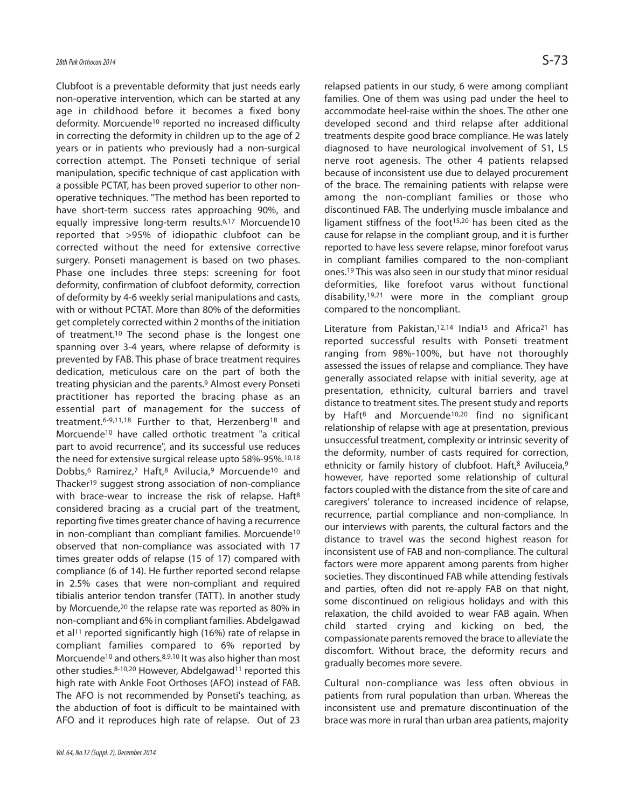Clubfoot is a preventable deformity that just needs early non-operative intervention, which can be started at any age in childhood before it becomes a fixed bony deformity. Morcuende<sup>10</sup> reported no increased difficulty in correcting the deformity in children up to the age of 2 years or in patients who previously had a non-surgical correction attempt. The Ponseti technique of serial manipulation, specific technique of cast application with a possible PCTAT, has been proved superior to other nonoperative techniques. "The method has been reported to have short-term success rates approaching 90%, and equally impressive long-term results.<sup>6,17</sup> Morcuende10 reported that >95% of idiopathic clubfoot can be corrected without the need for extensive corrective surgery. Ponseti management is based on two phases. Phase one includes three steps: screening for foot deformity, confirmation of clubfoot deformity, correction of deformity by 4-6 weekly serial manipulations and casts, with or without PCTAT. More than 80% of the deformities get completely corrected within 2 months of the initiation of treatment.<sup>10</sup> The second phase is the longest one spanning over 3-4 years, where relapse of deformity is prevented by FAB. This phase of brace treatment requires dedication, meticulous care on the part of both the treating physician and the parents.<sup>9</sup> Almost every Ponseti practitioner has reported the bracing phase as an essential part of management for the success of treatment.<sup>6-9,11,18</sup> Further to that, Herzenberg<sup>18</sup> and Morcuende<sup>10</sup> have called orthotic treatment "a critical part to avoid recurrence", and its successful use reduces the need for extensive surgical release upto 58%-95%.10,18 Dobbs,<sup>6</sup> Ramirez,<sup>7</sup> Haft,<sup>8</sup> Avilucia,<sup>9</sup> Morcuende<sup>10</sup> and Thacker<sup>19</sup> suggest strong association of non-compliance with brace-wear to increase the risk of relapse. Haft<sup>8</sup> considered bracing as a crucial part of the treatment, reporting five times greater chance of having a recurrence in non-compliant than compliant families. Morcuende<sup>10</sup> observed that non-compliance was associated with 17 times greater odds of relapse (15 of 17) compared with compliance (6 of 14). He further reported second relapse in 2.5% cases that were non-compliant and required tibialis anterior tendon transfer (TATT). In another study by Morcuende,<sup>20</sup> the relapse rate was reported as 80% in non-compliant and 6% in compliant families. Abdelgawad et al<sup>11</sup> reported significantly high (16%) rate of relapse in compliant families compared to 6% reported by Morcuende<sup>10</sup> and others.8,9,10 It was also higher than most other studies.<sup>8-10,20</sup> However, Abdelgawad<sup>11</sup> reported this high rate with Ankle Foot Orthoses (AFO) instead of FAB. The AFO is not recommended by Ponseti's teaching, as the abduction of foot is difficult to be maintained with AFO and it reproduces high rate of relapse. Out of 23

relapsed patients in our study, 6 were among compliant families. One of them was using pad under the heel to accommodate heel-raise within the shoes. The other one developed second and third relapse after additional treatments despite good brace compliance. He was lately diagnosed to have neurological involvement of S1, L5 nerve root agenesis. The other 4 patients relapsed because of inconsistent use due to delayed procurement of the brace. The remaining patients with relapse were among the non-compliant families or those who discontinued FAB. The underlying muscle imbalance and ligament stiffness of the foot<sup>15,20</sup> has been cited as the cause for relapse in the compliant group, and it is further reported to have less severe relapse, minor forefoot varus in compliant families compared to the non-compliant ones.<sup>19</sup> This was also seen in our study that minor residual deformities, like forefoot varus without functional disability, $19,21$  were more in the compliant group compared to the noncompliant.

Literature from Pakistan,<sup>12,14</sup> India<sup>15</sup> and Africa<sup>21</sup> has reported successful results with Ponseti treatment ranging from 98%-100%, but have not thoroughly assessed the issues of relapse and compliance. They have generally associated relapse with initial severity, age at presentation, ethnicity, cultural barriers and travel distance to treatment sites. The present study and reports by Haft<sup>8</sup> and Morcuende<sup>10,20</sup> find no significant relationship of relapse with age at presentation, previous unsuccessful treatment, complexity or intrinsic severity of the deformity, number of casts required for correction, ethnicity or family history of clubfoot. Haft,<sup>8</sup> Aviluceia,<sup>9</sup> however, have reported some relationship of cultural factors coupled with the distance from the site of care and caregivers' tolerance to increased incidence of relapse, recurrence, partial compliance and non-compliance. In our interviews with parents, the cultural factors and the distance to travel was the second highest reason for inconsistent use of FAB and non-compliance. The cultural factors were more apparent among parents from higher societies. They discontinued FAB while attending festivals and parties, often did not re-apply FAB on that night, some discontinued on religious holidays and with this relaxation, the child avoided to wear FAB again. When child started crying and kicking on bed, the compassionate parents removed the brace to alleviate the discomfort. Without brace, the deformity recurs and gradually becomes more severe.

Cultural non-compliance was less often obvious in patients from rural population than urban. Whereas the inconsistent use and premature discontinuation of the brace was more in rural than urban area patients, majority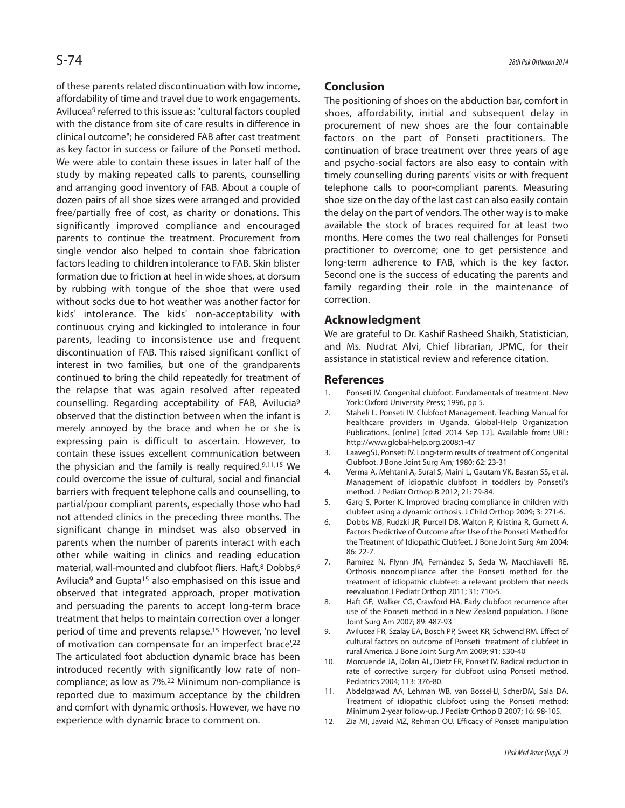of these parents related discontinuation with low income, affordability of time and travel due to work engagements. Avilucea<sup>9</sup> referred to this issue as: "cultural factors coupled with the distance from site of care results in difference in clinical outcome"; he considered FAB after cast treatment as key factor in success or failure of the Ponseti method. We were able to contain these issues in later half of the study by making repeated calls to parents, counselling and arranging good inventory of FAB. About a couple of dozen pairs of all shoe sizes were arranged and provided free/partially free of cost, as charity or donations. This significantly improved compliance and encouraged parents to continue the treatment. Procurement from single vendor also helped to contain shoe fabrication factors leading to children intolerance to FAB. Skin blister formation due to friction at heel in wide shoes, at dorsum by rubbing with tongue of the shoe that were used without socks due to hot weather was another factor for kids' intolerance. The kids' non-acceptability with continuous crying and kickingled to intolerance in four parents, leading to inconsistence use and frequent discontinuation of FAB. This raised significant conflict of interest in two families, but one of the grandparents continued to bring the child repeatedly for treatment of the relapse that was again resolved after repeated counselling. Regarding acceptability of FAB, Avilucia<sup>9</sup> observed that the distinction between when the infant is merely annoyed by the brace and when he or she is expressing pain is difficult to ascertain. However, to contain these issues excellent communication between the physician and the family is really required.9,11,15 We could overcome the issue of cultural, social and financial barriers with frequent telephone calls and counselling, to partial/poor compliant parents, especially those who had not attended clinics in the preceding three months. The significant change in mindset was also observed in parents when the number of parents interact with each other while waiting in clinics and reading education material, wall-mounted and clubfoot fliers. Haft,<sup>8</sup> Dobbs,<sup>6</sup> Avilucia<sup>9</sup> and Gupta<sup>15</sup> also emphasised on this issue and observed that integrated approach, proper motivation and persuading the parents to accept long-term brace treatment that helps to maintain correction over a longer period of time and prevents relapse.<sup>15</sup> However, 'no level of motivation can compensate for an imperfect brace<sup>'.22</sup> The articulated foot abduction dynamic brace has been introduced recently with significantly low rate of noncompliance; as low as 7%.<sup>22</sup> Minimum non-compliance is reported due to maximum acceptance by the children and comfort with dynamic orthosis. However, we have no experience with dynamic brace to comment on.

# **Conclusion**

The positioning of shoes on the abduction bar, comfort in shoes, affordability, initial and subsequent delay in procurement of new shoes are the four containable factors on the part of Ponseti practitioners. The continuation of brace treatment over three years of age and psycho-social factors are also easy to contain with timely counselling during parents' visits or with frequent telephone calls to poor-compliant parents. Measuring shoe size on the day of the last cast can also easily contain the delay on the part of vendors. The other way is to make available the stock of braces required for at least two months. Here comes the two real challenges for Ponseti practitioner to overcome; one to get persistence and long-term adherence to FAB, which is the key factor. Second one is the success of educating the parents and family regarding their role in the maintenance of correction.

### **Acknowledgment**

We are grateful to Dr. Kashif Rasheed Shaikh, Statistician, and Ms. Nudrat Alvi, Chief librarian, JPMC, for their assistance in statistical review and reference citation.

#### **References**

- 1. Ponseti IV. Congenital clubfoot. Fundamentals of treatment. New York: Oxford University Press; 1996, pp 5.
- 2. Staheli L. Ponseti IV. Clubfoot Management. Teaching Manual for healthcare providers in Uganda. Global-Help Organization Publications. [online] [cited 2014 Sep 12]. Available from: URL: http://www.global-help.org.2008:1-47
- 3. LaavegSJ, Ponseti IV. Long-term results of treatment of Congenital Clubfoot. J Bone Joint Surg Am; 1980; 62: 23-31
- 4. Verma A, Mehtani A, Sural S, Maini L, Gautam VK, Basran SS, et al. Management of idiopathic clubfoot in toddlers by Ponseti's method. J Pediatr Orthop B 2012; 21: 79-84.
- 5. Garg S, Porter K. Improved bracing compliance in children with clubfeet using a dynamic orthosis. J Child Orthop 2009; 3: 271-6.
- 6. Dobbs MB, Rudzki JR, Purcell DB, Walton P, Kristina R, Gurnett A. Factors Predictive of Outcome after Use of the Ponseti Method for the Treatment of Idiopathic Clubfeet. J Bone Joint Surg Am 2004: 86: 22-7.
- 7. Ramírez N, Flynn JM, Fernández S, Seda W, Macchiavelli RE. Orthosis noncompliance after the Ponseti method for the treatment of idiopathic clubfeet: a relevant problem that needs reevaluation.J Pediatr Orthop 2011; 31: 710-5.
- 8. Haft GF, Walker CG, Crawford HA. Early clubfoot recurrence after use of the Ponseti method in a New Zealand population. J Bone Joint Surg Am 2007; 89: 487-93
- 9. Avilucea FR, Szalay EA, Bosch PP, Sweet KR, Schwend RM. Effect of cultural factors on outcome of Ponseti treatment of clubfeet in rural America. J Bone Joint Surg Am 2009; 91: 530-40
- 10. Morcuende JA, Dolan AL, Dietz FR, Ponset IV. Radical reduction in rate of corrective surgery for clubfoot using Ponseti method. Pediatrics 2004; 113: 376-80.
- 11. Abdelgawad AA, Lehman WB, van BosseHJ, ScherDM, Sala DA. Treatment of idiopathic clubfoot using the Ponseti method: Minimum 2-year follow-up. J Pediatr Orthop B 2007; 16: 98-105.
- 12. Zia MI, Javaid MZ, Rehman OU. Efficacy of Ponseti manipulation